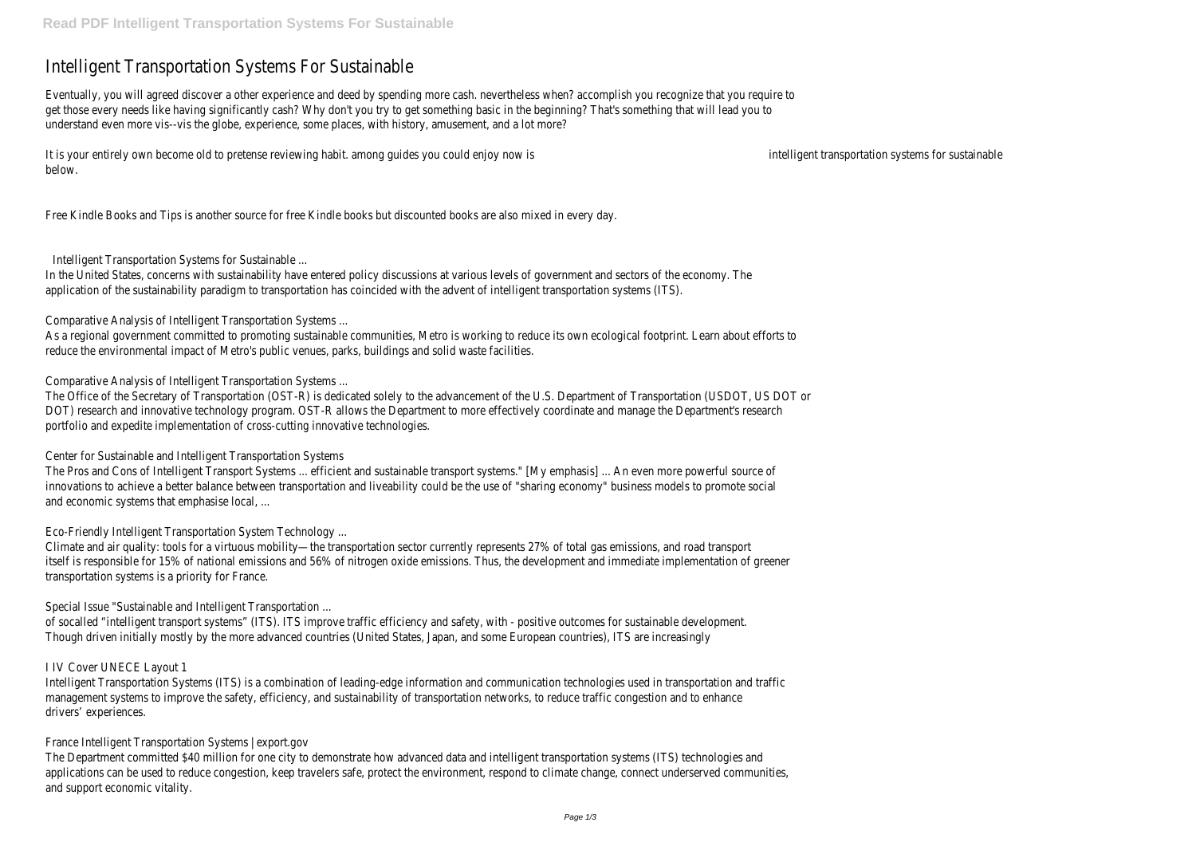## Intelligent Transportation Systems For Sustainable

Eventually, you will agreed discover a other experience and deed by spending more cash. nevertheless when? accomplish you recognize that you require to get those every needs like having significantly cash? Why don't you try to get something basic in the beginning? That's something that will lead you to understand even more vis--vis the globe, experience, some places, with history, amusement, and a lot more?

It is your entirely own become old to pretense reviewing habit, among quides you could enjoy now is intelligent transportation systems for sustainable below.

Free Kindle Books and Tips is another source for free Kindle books but discounted books are also mixed in every day.

Intelligent Transportation Systems for Sustainable ...

In the United States, concerns with sustainability have entered policy discussions at various levels of government and sectors of the economy. The application of the sustainability paradigm to transportation has coincided with the advent of intelligent transportation systems (ITS).

Comparative Analysis of Intelligent Transportation Systems ...

As a regional government committed to promoting sustainable communities, Metro is working to reduce its own ecological footprint. Learn about efforts to reduce the environmental impact of Metro's public venues, parks, buildings and solid waste facilities.

Comparative Analysis of Intelligent Transportation Systems ...

The Office of the Secretary of Transportation (OST-R) is dedicated solely to the advancement of the U.S. Department of Transportation (USDOT, US DOT or DOT) research and innovative technology program. OST-R allows the Department to more effectively coordinate and manage the Department's research portfolio and expedite implementation of cross-cutting innovative technologies.

Center for Sustainable and Intelligent Transportation Systems

The Pros and Cons of Intelligent Transport Systems ... efficient and sustainable transport systems." [My emphasis] ... An even more powerful source of innovations to achieve a better balance between transportation and liveability could be the use of "sharing economy" business models to promote social and economic systems that emphasise local, ...

Eco-Friendly Intelligent Transportation System Technology ...

Climate and air quality: tools for a virtuous mobility—the transportation sector currently represents 27% of total gas emissions, and road transport itself is responsible for 15% of national emissions and 56% of nitrogen oxide emissions. Thus, the development and immediate implementation of greener transportation systems is a priority for France.

Special Issue "Sustainable and Intelligent Transportation ...

of socalled "intelligent transport systems" (ITS). ITS improve traffic efficiency and safety, with - positive outcomes for sustainable development. Though driven initially mostly by the more advanced countries (United States, Japan, and some European countries), ITS are increasingly

## I IV Cover UNECE Layout 1

Intelligent Transportation Systems (ITS) is a combination of leading-edge information and communication technologies used in transportation and traffic management systems to improve the safety, efficiency, and sustainability of transportation networks, to reduce traffic congestion and to enhance drivers' experiences.

France Intelligent Transportation Systems | export.gov

The Department committed \$40 million for one city to demonstrate how advanced data and intelligent transportation systems (ITS) technologies and applications can be used to reduce congestion, keep travelers safe, protect the environment, respond to climate change, connect underserved communities, and support economic vitality.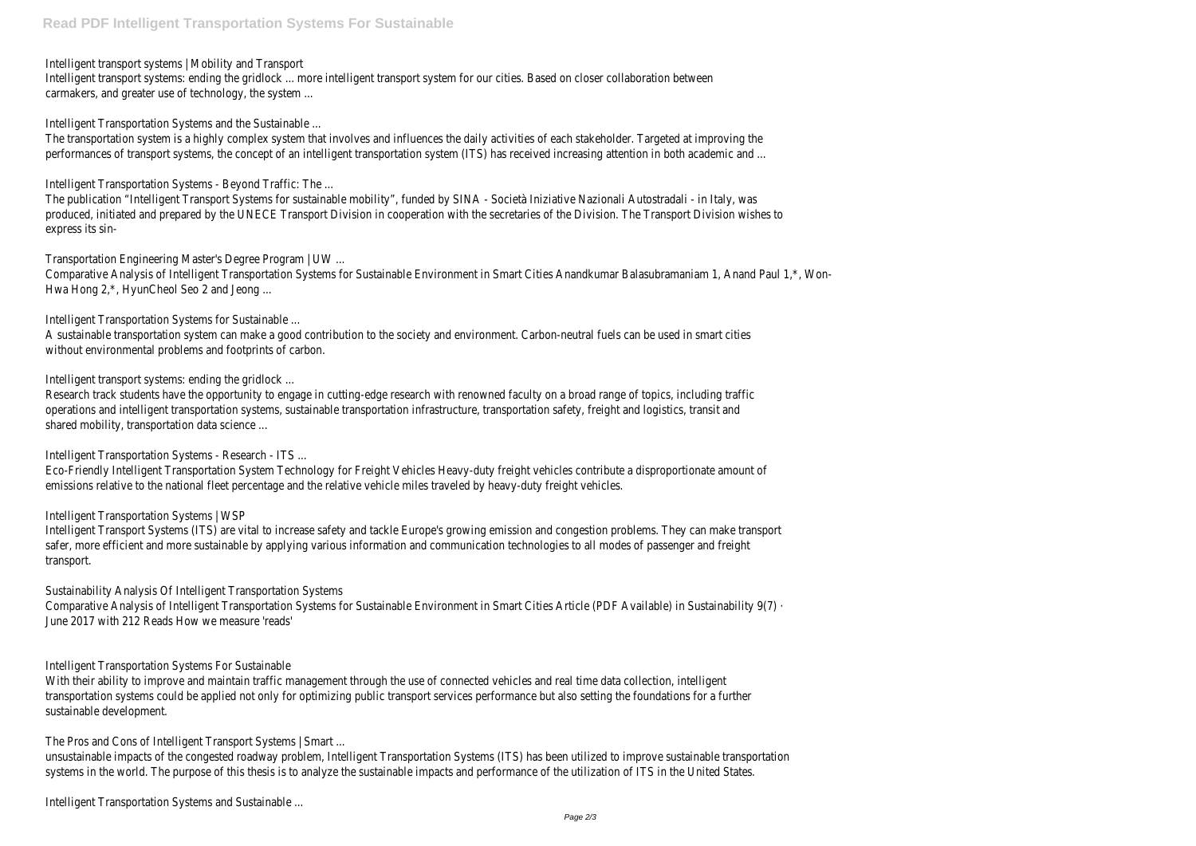Intelligent transport systems | Mobility and Transport

Intelligent transport systems: ending the gridlock ... more intelligent transport system for our cities. Based on closer collaboration between carmakers, and greater use of technology, the system ...

Intelligent Transportation Systems and the Sustainable ...

The transportation system is a highly complex system that involves and influences the daily activities of each stakeholder. Targeted at improving the performances of transport systems, the concept of an intelligent transportation system (ITS) has received increasing attention in both academic and ...

Comparative Analysis of Intelligent Transportation Systems for Sustainable Environment in Smart Cities Anandkumar Balasubramaniam 1, Anand Paul 1,\*, Won-Hwa Hong 2,\*, HyunCheol Seo 2 and Jeong ...

Intelligent Transportation Systems - Beyond Traffic: The ...

The publication "Intelligent Transport Systems for sustainable mobility", funded by SINA - Società Iniziative Nazionali Autostradali - in Italy, was produced, initiated and prepared by the UNECE Transport Division in cooperation with the secretaries of the Division. The Transport Division wishes to express its sin-

Transportation Engineering Master's Degree Program | UW ...

Intelligent Transportation Systems for Sustainable ...

A sustainable transportation system can make a good contribution to the society and environment. Carbon-neutral fuels can be used in smart cities without environmental problems and footprints of carbon.

Intelligent transport systems: ending the gridlock ...

With their ability to improve and maintain traffic management through the use of connected vehicles and real time data collection, intelligent transportation systems could be applied not only for optimizing public transport services performance but also setting the foundations for a further sustainable development.

Research track students have the opportunity to engage in cutting-edge research with renowned faculty on a broad range of topics, including traffic operations and intelligent transportation systems, sustainable transportation infrastructure, transportation safety, freight and logistics, transit and shared mobility, transportation data science ...

Intelligent Transportation Systems - Research - ITS ...

Eco-Friendly Intelligent Transportation System Technology for Freight Vehicles Heavy-duty freight vehicles contribute a disproportionate amount of emissions relative to the national fleet percentage and the relative vehicle miles traveled by heavy-duty freight vehicles.

Intelligent Transportation Systems | WSP

Intelligent Transport Systems (ITS) are vital to increase safety and tackle Europe's growing emission and congestion problems. They can make transport safer, more efficient and more sustainable by applying various information and communication technologies to all modes of passenger and freight transport.

Sustainability Analysis Of Intelligent Transportation Systems

Comparative Analysis of Intelligent Transportation Systems for Sustainable Environment in Smart Cities Article (PDF Available) in Sustainability 9(7) · June 2017 with 212 Reads How we measure 'reads'

Intelligent Transportation Systems For Sustainable

The Pros and Cons of Intelligent Transport Systems | Smart ...

unsustainable impacts of the congested roadway problem, Intelligent Transportation Systems (ITS) has been utilized to improve sustainable transportation systems in the world. The purpose of this thesis is to analyze the sustainable impacts and performance of the utilization of ITS in the United States.

Intelligent Transportation Systems and Sustainable ...